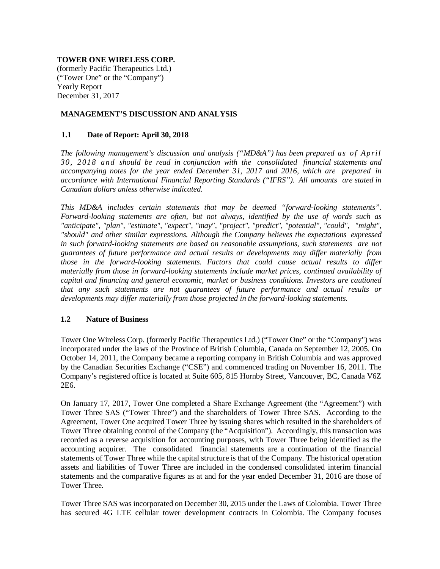# **TOWER ONE WIRELESS CORP.**

(formerly Pacific Therapeutics Ltd.) ("Tower One" or the "Company") Yearly Report December 31, 2017

## **MANAGEMENT'S DISCUSSION AND ANALYSIS**

# **1.1 Date of Report: April 30, 2018**

*The following management's discussion and analysis ("MD&A") has been prepared as of April 30, 2018 and should be read in conjunction with the consolidated financial statements and accompanying notes for the year ended December 31, 2017 and 2016, which are prepared in accordance with International Financial Reporting Standards ("IFRS"). All amounts are stated in Canadian dollars unless otherwise indicated.*

*This MD&A includes certain statements that may be deemed "forward-looking statements". Forward-looking statements are often, but not always, identified by the use of words such as "anticipate", "plan", "estimate", "expect", "may", "project", "predict", "potential", "could", "might", "should" and other similar expressions. Although the Company believes the expectations expressed in such forward-looking statements are based on reasonable assumptions, such statements are not guarantees of future performance and actual results or developments may differ materially from those in the forward-looking statements. Factors that could cause actual results to differ materially from those in forward-looking statements include market prices, continued availability of capital and financing and general economic, market or business conditions. Investors are cautioned that any such statements are not guarantees of future performance and actual results or developments may differ materially from those projected in the forward-looking statements.*

## **1.2 Nature of Business**

Tower One Wireless Corp. (formerly Pacific Therapeutics Ltd.) ("Tower One" or the "Company") was incorporated under the laws of the Province of British Columbia, Canada on September 12, 2005. On October 14, 2011, the Company became a reporting company in British Columbia and was approved by the Canadian Securities Exchange ("CSE") and commenced trading on November 16, 2011. The Company's registered office is located at Suite 605, 815 Hornby Street, Vancouver, BC, Canada V6Z 2E6.

On January 17, 2017, Tower One completed a Share Exchange Agreement (the "Agreement") with Tower Three SAS ("Tower Three") and the shareholders of Tower Three SAS. According to the Agreement, Tower One acquired Tower Three by issuing shares which resulted in the shareholders of Tower Three obtaining control of the Company (the "Acquisition"). Accordingly, this transaction was recorded as a reverse acquisition for accounting purposes, with Tower Three being identified as the accounting acquirer. The consolidated financial statements are a continuation of the financial statements of Tower Three while the capital structure is that of the Company. The historical operation assets and liabilities of Tower Three are included in the condensed consolidated interim financial statements and the comparative figures as at and for the year ended December 31, 2016 are those of Tower Three.

Tower Three SAS was incorporated on December 30, 2015 under the Laws of Colombia. Tower Three has secured 4G LTE cellular tower development contracts in Colombia. The Company focuses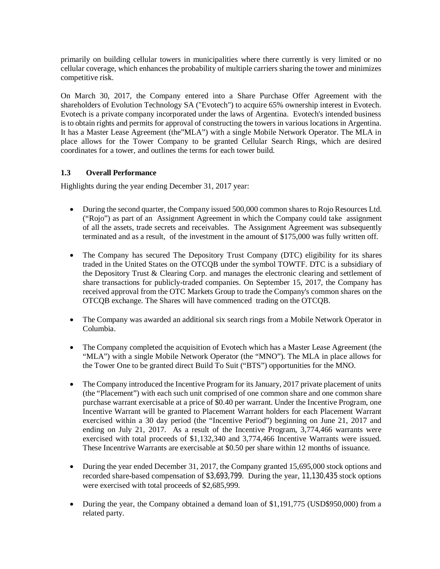primarily on building cellular towers in municipalities where there currently is very limited or no cellular coverage, which enhances the probability of multiple carriers sharing the tower and minimizes competitive risk.

On March 30, 2017, the Company entered into a Share Purchase Offer Agreement with the shareholders of Evolution Technology SA ("Evotech") to acquire 65% ownership interest in Evotech. Evotech is a private company incorporated under the laws of Argentina. Evotech's intended business is to obtain rights and permits for approval of constructing the towers in various locations in Argentina. It has a Master Lease Agreement (the"MLA") with a single Mobile Network Operator. The MLA in place allows for the Tower Company to be granted Cellular Search Rings, which are desired coordinates for a tower, and outlines the terms for each tower build.

# **1.3 Overall Performance**

Highlights during the year ending December 31, 2017 year:

- During the second quarter, the Company issued 500,000 common shares to Rojo Resources Ltd. ("Rojo") as part of an Assignment Agreement in which the Company could take assignment of all the assets, trade secrets and receivables. The Assignment Agreement was subsequently terminated and as a result, of the investment in the amount of \$175,000 was fully written off.
- The Company has secured The Depository Trust Company (DTC) eligibility for its shares traded in the United States on the OTCQB under the symbol TOWTF. DTC is a subsidiary of the Depository Trust & Clearing Corp. and manages the electronic clearing and settlement of share transactions for publicly-traded companies. On September 15, 2017, the Company has received approval from the OTC Markets Group to trade the Company's common shares on the OTCQB exchange. The Shares will have commenced trading on the OTCQB.
- The Company was awarded an additional six search rings from a Mobile Network Operator in Columbia.
- The Company completed the acquisition of Evotech which has a Master Lease Agreement (the "MLA") with a single Mobile Network Operator (the "MNO"). The MLA in place allows for the Tower One to be granted direct Build To Suit ("BTS") opportunities for the MNO.
- The Company introduced the Incentive Program for its January, 2017 private placement of units (the "Placement") with each such unit comprised of one common share and one common share purchase warrant exercisable at a price of \$0.40 per warrant. Under the Incentive Program, one Incentive Warrant will be granted to Placement Warrant holders for each Placement Warrant exercised within a 30 day period (the "Incentive Period") beginning on June 21, 2017 and ending on July 21, 2017. As a result of the Incentive Program, 3,774,466 warrants were exercised with total proceeds of \$1,132,340 and 3,774,466 Incentive Warrants were issued. These Incentrive Warrants are exercisable at \$0.50 per share within 12 months of issuance.
- During the year ended December 31, 2017, the Company granted 15,695,000 stock options and recorded share-based compensation of \$3,693,799. During the year, 11,130,435 stock options were exercised with total proceeds of \$2,685,999.
- During the year, the Company obtained a demand loan of \$1,191,775 (USD\$950,000) from a related party.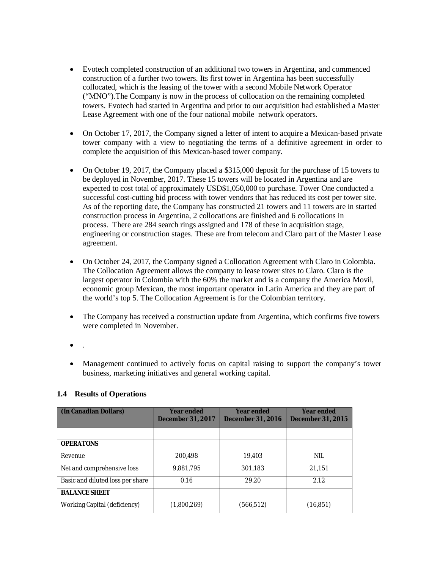- Evotech completed construction of an additional two towers in Argentina, and commenced construction of a further two towers. Its first tower in Argentina has been successfully collocated, which is the leasing of the tower with a second Mobile Network Operator ("MNO").The Company is now in the process of collocation on the remaining completed towers. Evotech had started in Argentina and prior to our acquisition had established a Master Lease Agreement with one of the four national mobile network operators.
- On October 17, 2017, the Company signed a letter of intent to acquire a Mexican-based private tower company with a view to negotiating the terms of a definitive agreement in order to complete the acquisition of this Mexican-based tower company.
- On October 19, 2017, the Company placed a \$315,000 deposit for the purchase of 15 towers to be deployed in November, 2017. These 15 towers will be located in Argentina and are expected to cost total of approximately USD\$1,050,000 to purchase. Tower One conducted a successful cost-cutting bid process with tower vendors that has reduced its cost per tower site. As of the reporting date, the Company has constructed 21 towers and 11 towers are in started construction process in Argentina, 2 collocations are finished and 6 collocations in process. There are 284 search rings assigned and 178 of these in acquisition stage, engineering or construction stages. These are from telecom and Claro part of the Master Lease agreement.
- On October 24, 2017, the Company signed a Collocation Agreement with Claro in Colombia. The Collocation Agreement allows the company to lease tower sites to Claro. Claro is the largest operator in Colombia with the 60% the market and is a company the America Movil, economic group Mexican, the most important operator in Latin America and they are part of the world's top 5. The Collocation Agreement is for the Colombian territory.
- The Company has received a construction update from Argentina, which confirms five towers were completed in November.
- $\bullet$
- Management continued to actively focus on capital raising to support the company's tower business, marketing initiatives and general working capital.

| (In Canadian Dollars)            | Year ended<br><b>December 31, 2017</b> | <b>Year ended</b><br><b>December 31, 2016</b> | <b>Year ended</b><br><b>December 31, 2015</b> |  |
|----------------------------------|----------------------------------------|-----------------------------------------------|-----------------------------------------------|--|
|                                  |                                        |                                               |                                               |  |
| <b>OPERATONS</b>                 |                                        |                                               |                                               |  |
| Revenue                          | 200,498                                | 19,403                                        | NIL                                           |  |
| Net and comprehensive loss       | 9,881,795                              | 301,183                                       | 21,151                                        |  |
| Basic and diluted loss per share | 0.16                                   | 29.20                                         | 2.12                                          |  |
| <b>BALANCE SHEET</b>             |                                        |                                               |                                               |  |
| Working Capital (deficiency)     | (1,800,269)                            | (566, 512)                                    | (16, 851)                                     |  |

## **1.4 Results of Operations**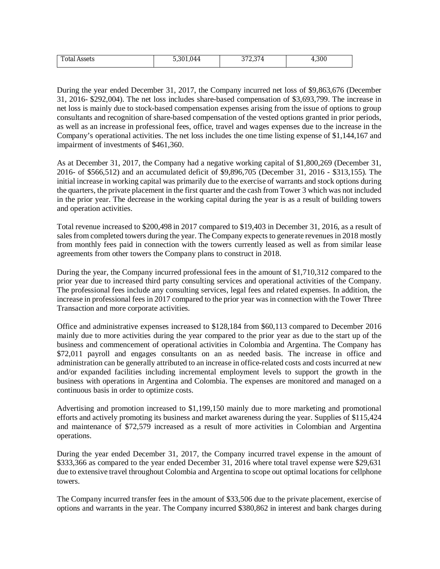| ntol<br>' Assets<br>otal | $ \sim$<br>144<br>``<br>∪,∪∪<br>. . U | 0.70.07<br>ູ | .300<br>. . |
|--------------------------|---------------------------------------|--------------|-------------|

During the year ended December 31, 2017, the Company incurred net loss of \$9,863,676 (December 31, 2016- \$292,004). The net loss includes share-based compensation of \$3,693,799. The increase in net loss is mainly due to stock-based compensation expenses arising from the issue of options to group consultants and recognition of share-based compensation of the vested options granted in prior periods, as well as an increase in professional fees, office, travel and wages expenses due to the increase in the Company's operational activities. The net loss includes the one time listing expense of \$1,144,167 and impairment of investments of \$461,360.

As at December 31, 2017, the Company had a negative working capital of \$1,800,269 (December 31, 2016- of \$566,512) and an accumulated deficit of \$9,896,705 (December 31, 2016 - \$313,155). The initial increase in working capital was primarily due to the exercise of warrants and stock options during the quarters, the private placement in the first quarter and the cash from Tower 3 which was not included in the prior year. The decrease in the working capital during the year is as a result of building towers and operation activities.

Total revenue increased to \$200,498 in 2017 compared to \$19,403 in December 31, 2016, as a result of sales from completed towers during the year. The Company expects to generate revenues in 2018 mostly from monthly fees paid in connection with the towers currently leased as well as from similar lease agreements from other towers the Company plans to construct in 2018.

During the year, the Company incurred professional fees in the amount of \$1,710,312 compared to the prior year due to increased third party consulting services and operational activities of the Company. The professional fees include any consulting services, legal fees and related expenses. In addition, the increase in professional fees in 2017 compared to the prior year was in connection with the Tower Three Transaction and more corporate activities.

Office and administrative expenses increased to \$128,184 from \$60,113 compared to December 2016 mainly due to more activities during the year compared to the prior year as due to the start up of the business and commencement of operational activities in Colombia and Argentina. The Company has \$72,011 payroll and engages consultants on an as needed basis. The increase in office and administration can be generally attributed to an increase in office-related costs and costs incurred at new and/or expanded facilities including incremental employment levels to support the growth in the business with operations in Argentina and Colombia. The expenses are monitored and managed on a continuous basis in order to optimize costs.

Advertising and promotion increased to \$1,199,150 mainly due to more marketing and promotional efforts and actively promoting its business and market awareness during the year. Supplies of \$115,424 and maintenance of \$72,579 increased as a result of more activities in Colombian and Argentina operations.

During the year ended December 31, 2017, the Company incurred travel expense in the amount of \$333,366 as compared to the year ended December 31, 2016 where total travel expense were \$29,631 due to extensive travel throughout Colombia and Argentina to scope out optimal locations for cellphone towers.

The Company incurred transfer fees in the amount of \$33,506 due to the private placement, exercise of options and warrants in the year. The Company incurred \$380,862 in interest and bank charges during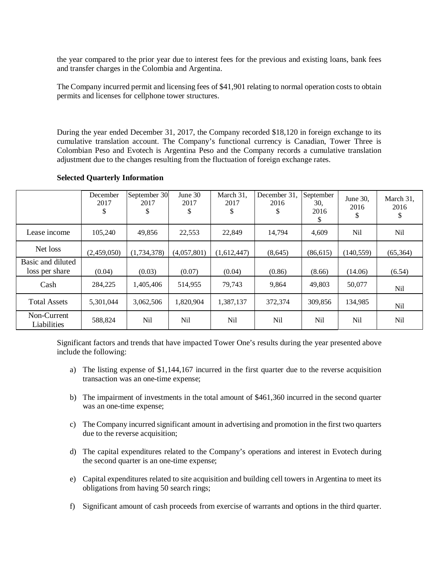the year compared to the prior year due to interest fees for the previous and existing loans, bank fees and transfer charges in the Colombia and Argentina.

The Company incurred permit and licensing fees of \$41,901 relating to normal operation costs to obtain permits and licenses for cellphone tower structures.

During the year ended December 31, 2017, the Company recorded \$18,120 in foreign exchange to its cumulative translation account. The Company's functional currency is Canadian, Tower Three is Colombian Peso and Evotech is Argentina Peso and the Company records a cumulative translation adjustment due to the changes resulting from the fluctuation of foreign exchange rates.

|                                     | December<br>2017<br>\$ | September 30<br>2017<br>\$ | June 30<br>2017<br>\$ | March 31,<br>2017<br>\$ | December 31.<br>2016<br>\$ | September<br>30,<br>2016<br>J. | June 30,<br>2016<br>\$ | March 31,<br>2016<br>\$ |
|-------------------------------------|------------------------|----------------------------|-----------------------|-------------------------|----------------------------|--------------------------------|------------------------|-------------------------|
| Lease income                        | 105,240                | 49,856                     | 22,553                | 22,849                  | 14,794                     | 4,609                          | Nil                    | <b>Nil</b>              |
| Net loss                            | (2,459,050)            | (1,734,378)                | (4,057,801)           | (1,612,447)             | (8,645)                    | (86, 615)                      | (140, 559)             | (65, 364)               |
| Basic and diluted<br>loss per share | (0.04)                 | (0.03)                     | (0.07)                | (0.04)                  | (0.86)                     | (8.66)                         | (14.06)                | (6.54)                  |
| Cash                                | 284,225                | 1,405,406                  | 514,955               | 79,743                  | 9,864                      | 49,803                         | 50,077                 | Nil                     |
| <b>Total Assets</b>                 | 5,301,044              | 3,062,506                  | 1,820,904             | 1,387,137               | 372,374                    | 309,856                        | 134,985                | Nil                     |
| Non-Current<br>Liabilities          | 588,824                | Nil                        | Nil                   | Nil                     | Nil                        | Nil                            | Nil                    | Nil                     |

#### **Selected Quarterly Information**

Significant factors and trends that have impacted Tower One's results during the year presented above include the following:

- a) The listing expense of \$1,144,167 incurred in the first quarter due to the reverse acquisition transaction was an one-time expense;
- b) The impairment of investments in the total amount of \$461,360 incurred in the second quarter was an one-time expense;
- c) The Company incurred significant amount in advertising and promotion in the first two quarters due to the reverse acquisition;
- d) The capital expenditures related to the Company's operations and interest in Evotech during the second quarter is an one-time expense;
- e) Capital expenditures related to site acquisition and building cell towers in Argentina to meet its obligations from having 50 search rings;
- f) Significant amount of cash proceeds from exercise of warrants and options in the third quarter.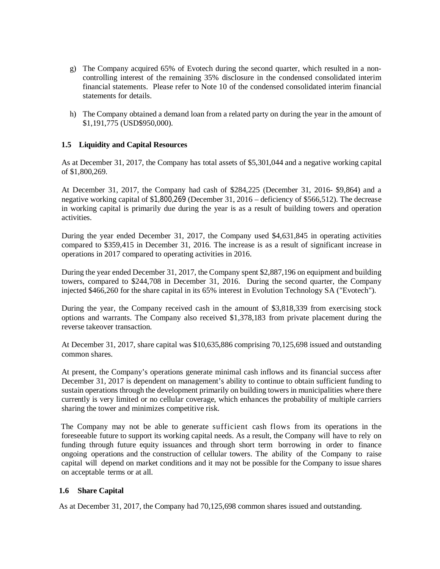- g) The Company acquired 65% of Evotech during the second quarter, which resulted in a noncontrolling interest of the remaining 35% disclosure in the condensed consolidated interim financial statements. Please refer to Note 10 of the condensed consolidated interim financial statements for details.
- h) The Company obtained a demand loan from a related party on during the year in the amount of \$1,191,775 (USD\$950,000).

# **1.5 Liquidity and Capital Resources**

As at December 31, 2017, the Company has total assets of \$5,301,044 and a negative working capital of \$1,800,269.

At December 31, 2017, the Company had cash of \$284,225 (December 31, 2016- \$9,864) and a negative working capital of \$1,800,269 (December 31, 2016 – deficiency of \$566,512). The decrease in working capital is primarily due during the year is as a result of building towers and operation activities.

During the year ended December 31, 2017, the Company used \$4,631,845 in operating activities compared to \$359,415 in December 31, 2016. The increase is as a result of significant increase in operations in 2017 compared to operating activities in 2016.

During the year ended December 31, 2017, the Company spent \$2,887,196 on equipment and building towers, compared to \$244,708 in December 31, 2016. During the second quarter, the Company injected \$466,260 for the share capital in its 65% interest in Evolution Technology SA ("Evotech").

During the year, the Company received cash in the amount of \$3,818,339 from exercising stock options and warrants. The Company also received \$1,378,183 from private placement during the reverse takeover transaction.

At December 31, 2017, share capital was \$10,635,886 comprising 70,125,698 issued and outstanding common shares.

At present, the Company's operations generate minimal cash inflows and its financial success after December 31, 2017 is dependent on management's ability to continue to obtain sufficient funding to sustain operations through the development primarily on building towers in municipalities where there currently is very limited or no cellular coverage, which enhances the probability of multiple carriers sharing the tower and minimizes competitive risk.

The Company may not be able to generate sufficient cash flows from its operations in the foreseeable future to support its working capital needs. As a result, the Company will have to rely on funding through future equity issuances and through short term borrowing in order to finance ongoing operations and the construction of cellular towers. The ability of the Company to raise capital will depend on market conditions and it may not be possible for the Company to issue shares on acceptable terms or at all.

## **1.6 Share Capital**

As at December 31, 2017, the Company had 70,125,698 common shares issued and outstanding.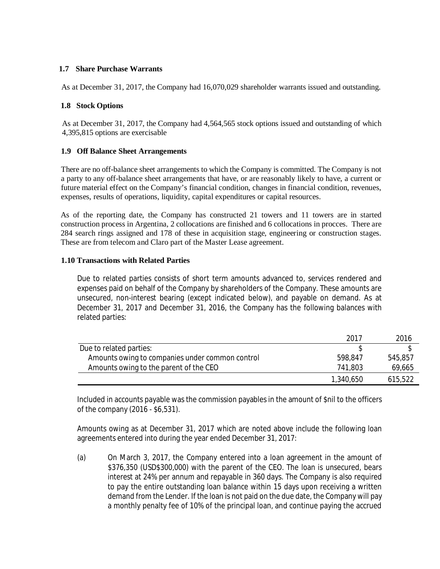# **1.7 Share Purchase Warrants**

As at December 31, 2017, the Company had 16,070,029 shareholder warrants issued and outstanding.

## **1.8 Stock Options**

As at December 31, 2017, the Company had 4,564,565 stock options issued and outstanding of which 4,395,815 options are exercisable

# **1.9 Off Balance Sheet Arrangements**

There are no off-balance sheet arrangements to which the Company is committed. The Company is not a party to any off-balance sheet arrangements that have, or are reasonably likely to have, a current or future material effect on the Company's financial condition, changes in financial condition, revenues, expenses, results of operations, liquidity, capital expenditures or capital resources.

As of the reporting date, the Company has constructed 21 towers and 11 towers are in started construction process in Argentina, 2 collocations are finished and 6 collocations in procces. There are 284 search rings assigned and 178 of these in acquisition stage, engineering or construction stages. These are from telecom and Claro part of the Master Lease agreement.

## **1.10 Transactions with Related Parties**

Due to related parties consists of short term amounts advanced to, services rendered and expenses paid on behalf of the Company by shareholders of the Company. These amounts are unsecured, non-interest bearing (except indicated below), and payable on demand. As at December 31, 2017 and December 31, 2016, the Company has the following balances with related parties:

|                                                 | 2017      | 2016    |
|-------------------------------------------------|-----------|---------|
| Due to related parties:                         |           |         |
| Amounts owing to companies under common control | 598.847   | 545,857 |
| Amounts owing to the parent of the CEO          | 741,803   | 69,665  |
|                                                 | 1,340,650 | 615,522 |

Included in accounts payable was the commission payables in the amount of \$nil to the officers of the company (2016 - \$6,531).

Amounts owing as at December 31, 2017 which are noted above include the following loan agreements entered into during the year ended December 31, 2017:

(a) On March 3, 2017, the Company entered into a loan agreement in the amount of \$376,350 (USD\$300,000) with the parent of the CEO. The loan is unsecured, bears interest at 24% per annum and repayable in 360 days. The Company is also required to pay the entire outstanding loan balance within 15 days upon receiving a written demand from the Lender. If the loan is not paid on the due date, the Company will pay a monthly penalty fee of 10% of the principal loan, and continue paying the accrued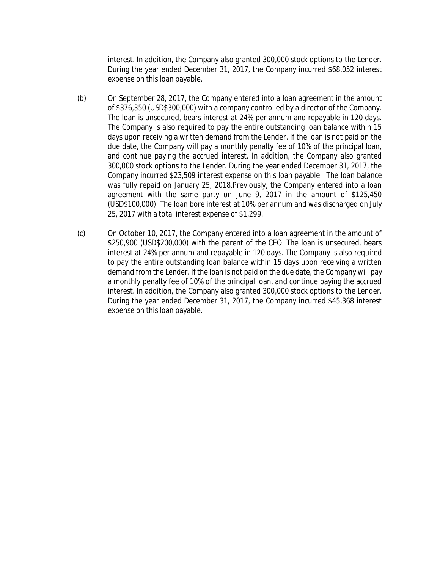interest. In addition, the Company also granted 300,000 stock options to the Lender. During the year ended December 31, 2017, the Company incurred \$68,052 interest expense on this loan payable.

- (b) On September 28, 2017, the Company entered into a loan agreement in the amount of \$376,350 (USD\$300,000) with a company controlled by a director of the Company. The loan is unsecured, bears interest at 24% per annum and repayable in 120 days. The Company is also required to pay the entire outstanding loan balance within 15 days upon receiving a written demand from the Lender. If the loan is not paid on the due date, the Company will pay a monthly penalty fee of 10% of the principal loan, and continue paying the accrued interest. In addition, the Company also granted 300,000 stock options to the Lender. During the year ended December 31, 2017, the Company incurred \$23,509 interest expense on this loan payable. The loan balance was fully repaid on January 25, 2018.Previously, the Company entered into a loan agreement with the same party on June 9, 2017 in the amount of \$125,450 (USD\$100,000). The loan bore interest at 10% per annum and was discharged on July 25, 2017 with a total interest expense of \$1,299.
- (c) On October 10, 2017, the Company entered into a loan agreement in the amount of \$250,900 (USD\$200,000) with the parent of the CEO. The loan is unsecured, bears interest at 24% per annum and repayable in 120 days. The Company is also required to pay the entire outstanding loan balance within 15 days upon receiving a written demand from the Lender. If the loan is not paid on the due date, the Company will pay a monthly penalty fee of 10% of the principal loan, and continue paying the accrued interest. In addition, the Company also granted 300,000 stock options to the Lender. During the year ended December 31, 2017, the Company incurred \$45,368 interest expense on this loan payable.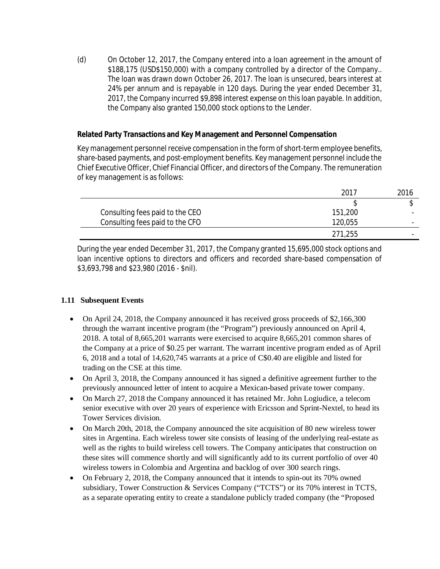(d) On October 12, 2017, the Company entered into a loan agreement in the amount of \$188,175 (USD\$150,000) with a company controlled by a director of the Company.. The loan was drawn down October 26, 2017. The loan is unsecured, bears interest at 24% per annum and is repayable in 120 days. During the year ended December 31, 2017, the Company incurred \$9,898 interest expense on this loan payable. In addition, the Company also granted 150,000 stock options to the Lender.

# **Related Party Transactions and Key Management and Personnel Compensation**

Key management personnel receive compensation in the form of short-term employee benefits, share-based payments, and post-employment benefits. Key management personnel include the Chief Executive Officer, Chief Financial Officer, and directors of the Company. The remuneration of key management is as follows:

|                                 | 2017    | 2016 |
|---------------------------------|---------|------|
|                                 |         |      |
| Consulting fees paid to the CEO | 151,200 |      |
| Consulting fees paid to the CFO | 120,055 |      |
|                                 | 271,255 |      |

During the year ended December 31, 2017, the Company granted 15,695,000 stock options and loan incentive options to directors and officers and recorded share-based compensation of \$3,693,798 and \$23,980 (2016 - \$nil).

# **1.11 Subsequent Events**

- On April 24, 2018, the Company announced it has received gross proceeds of \$2,166,300 through the warrant incentive program (the "Program") previously announced on April 4, 2018. A total of 8,665,201 warrants were exercised to acquire 8,665,201 common shares of the Company at a price of \$0.25 per warrant. The warrant incentive program ended as of April 6, 2018 and a total of 14,620,745 warrants at a price of C\$0.40 are eligible and listed for trading on the CSE at this time.
- On April 3, 2018, the Company announced it has signed a definitive agreement further to the previously announced letter of intent to acquire a Mexican-based private tower company.
- On March 27, 2018 the Company announced it has retained Mr. John Logiudice, a telecom senior executive with over 20 years of experience with Ericsson and Sprint-Nextel, to head its Tower Services division.
- On March 20th, 2018, the Company announced the site acquisition of 80 new wireless tower sites in Argentina. Each wireless tower site consists of leasing of the underlying real-estate as well as the rights to build wireless cell towers. The Company anticipates that construction on these sites will commence shortly and will significantly add to its current portfolio of over 40 wireless towers in Colombia and Argentina and backlog of over 300 search rings.
- On February 2, 2018, the Company announced that it intends to spin-out its 70% owned subsidiary, Tower Construction & Services Company ("TCTS") or its 70% interest in TCTS, as a separate operating entity to create a standalone publicly traded company (the "Proposed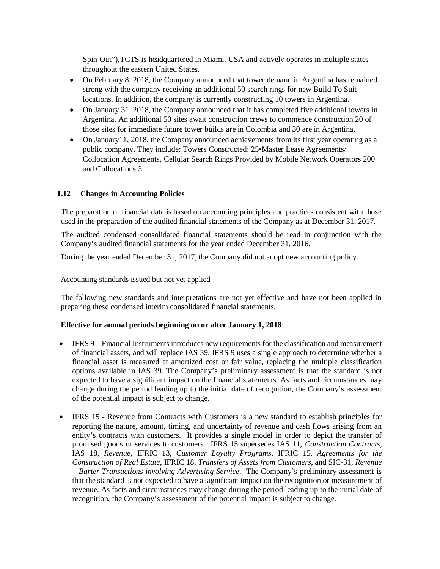Spin-Out").TCTS is headquartered in Miami, USA and actively operates in multiple states throughout the eastern United States.

- On February 8, 2018, the Company announced that tower demand in Argentina has remained strong with the company receiving an additional 50 search rings for new Build To Suit locations. In addition, the company is currently constructing 10 towers in Argentina.
- On January 31, 2018, the Company announced that it has completed five additional towers in Argentina. An additional 50 sites await construction crews to commence construction.20 of those sites for immediate future tower builds are in Colombia and 30 are in Argentina.
- On January11, 2018, the Company announced achievements from its first year operating as a public company. They include: Towers Constructed: 25•Master Lease Agreements/ Collocation Agreements, Cellular Search Rings Provided by Mobile Network Operators 200 and Collocations:3

# **1.12 Changes in Accounting Policies**

The preparation of financial data is based on accounting principles and practices consistent with those used in the preparation of the audited financial statements of the Company as at December 31, 2017.

The audited condensed consolidated financial statements should be read in conjunction with the Company's audited financial statements for the year ended December 31, 2016.

During the year ended December 31, 2017, the Company did not adopt new accounting policy.

#### Accounting standards issued but not yet applied

The following new standards and interpretations are not yet effective and have not been applied in preparing these condensed interim consolidated financial statements.

## **Effective for annual periods beginning on or after January 1, 2018**:

- IFRS 9 Financial Instruments introduces new requirements for the classification and measurement of financial assets, and will replace IAS 39. IFRS 9 uses a single approach to determine whether a financial asset is measured at amortized cost or fair value, replacing the multiple classification options available in IAS 39. The Company's preliminary assessment is that the standard is not expected to have a significant impact on the financial statements. As facts and circumstances may change during the period leading up to the initial date of recognition, the Company's assessment of the potential impact is subject to change.
- IFRS 15 Revenue from Contracts with Customers is a new standard to establish principles for reporting the nature, amount, timing, and uncertainty of revenue and cash flows arising from an entity's contracts with customers. It provides a single model in order to depict the transfer of promised goods or services to customers. IFRS 15 supersedes IAS 11, *Construction Contracts*, IAS 18, *Revenue*, IFRIC 13, *Customer Loyalty Programs*, IFRIC 15, *Agreements for the Construction of Real Estate*, IFRIC 18, *Transfers of Assets from Customers*, and SIC-31, *Revenue – Barter Transactions involving Advertising Service*. The Company's preliminary assessment is that the standard is not expected to have a significant impact on the recognition or measurement of revenue. As facts and circumstances may change during the period leading up to the initial date of recognition, the Company's assessment of the potential impact is subject to change.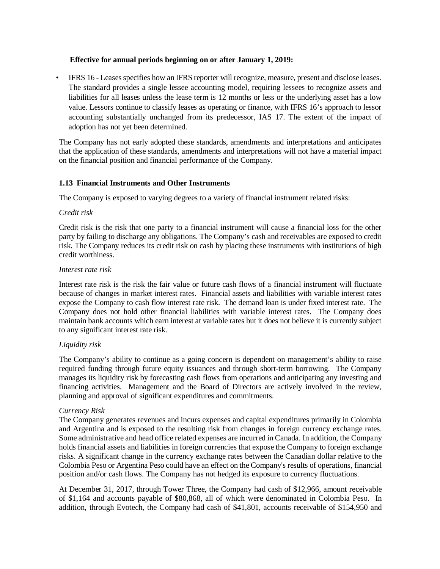## **Effective for annual periods beginning on or after January 1, 2019:**

• IFRS 16 - Leases specifies how an IFRS reporter will recognize, measure, present and disclose leases. The standard provides a single lessee accounting model, requiring lessees to recognize assets and liabilities for all leases unless the lease term is 12 months or less or the underlying asset has a low value. Lessors continue to classify leases as operating or finance, with IFRS 16's approach to lessor accounting substantially unchanged from its predecessor, IAS 17. The extent of the impact of adoption has not yet been determined.

The Company has not early adopted these standards, amendments and interpretations and anticipates that the application of these standards, amendments and interpretations will not have a material impact on the financial position and financial performance of the Company.

#### **1.13 Financial Instruments and Other Instruments**

The Company is exposed to varying degrees to a variety of financial instrument related risks:

#### *Credit risk*

Credit risk is the risk that one party to a financial instrument will cause a financial loss for the other party by failing to discharge any obligations. The Company's cash and receivables are exposed to credit risk. The Company reduces its credit risk on cash by placing these instruments with institutions of high credit worthiness.

#### *Interest rate risk*

Interest rate risk is the risk the fair value or future cash flows of a financial instrument will fluctuate because of changes in market interest rates. Financial assets and liabilities with variable interest rates expose the Company to cash flow interest rate risk. The demand loan is under fixed interest rate. The Company does not hold other financial liabilities with variable interest rates. The Company does maintain bank accounts which earn interest at variable rates but it does not believe it is currently subject to any significant interest rate risk.

## *Liquidity risk*

The Company's ability to continue as a going concern is dependent on management's ability to raise required funding through future equity issuances and through short-term borrowing. The Company manages its liquidity risk by forecasting cash flows from operations and anticipating any investing and financing activities. Management and the Board of Directors are actively involved in the review, planning and approval of significant expenditures and commitments.

#### *Currency Risk*

The Company generates revenues and incurs expenses and capital expenditures primarily in Colombia and Argentina and is exposed to the resulting risk from changes in foreign currency exchange rates. Some administrative and head office related expenses are incurred in Canada. In addition, the Company holds financial assets and liabilities in foreign currencies that expose the Company to foreign exchange risks. A significant change in the currency exchange rates between the Canadian dollar relative to the Colombia Peso or Argentina Peso could have an effect on the Company's results of operations, financial position and/or cash flows. The Company has not hedged its exposure to currency fluctuations.

At December 31, 2017, through Tower Three, the Company had cash of \$12,966, amount receivable of \$1,164 and accounts payable of \$80,868, all of which were denominated in Colombia Peso. In addition, through Evotech, the Company had cash of \$41,801, accounts receivable of \$154,950 and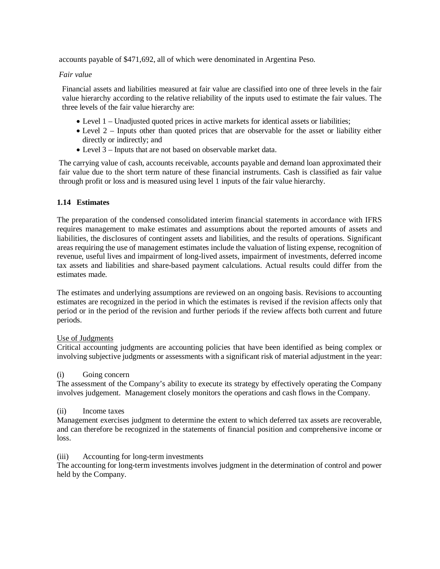accounts payable of \$471,692, all of which were denominated in Argentina Peso.

## *Fair value*

Financial assets and liabilities measured at fair value are classified into one of three levels in the fair value hierarchy according to the relative reliability of the inputs used to estimate the fair values. The three levels of the fair value hierarchy are:

- Level 1 Unadjusted quoted prices in active markets for identical assets or liabilities;
- Level 2 Inputs other than quoted prices that are observable for the asset or liability either directly or indirectly; and
- Level 3 Inputs that are not based on observable market data.

The carrying value of cash, accounts receivable, accounts payable and demand loan approximated their fair value due to the short term nature of these financial instruments. Cash is classified as fair value through profit or loss and is measured using level 1 inputs of the fair value hierarchy.

# **1.14 Estimates**

The preparation of the condensed consolidated interim financial statements in accordance with IFRS requires management to make estimates and assumptions about the reported amounts of assets and liabilities, the disclosures of contingent assets and liabilities, and the results of operations. Significant areas requiring the use of management estimates include the valuation of listing expense, recognition of revenue, useful lives and impairment of long-lived assets, impairment of investments, deferred income tax assets and liabilities and share-based payment calculations. Actual results could differ from the estimates made.

The estimates and underlying assumptions are reviewed on an ongoing basis. Revisions to accounting estimates are recognized in the period in which the estimates is revised if the revision affects only that period or in the period of the revision and further periods if the review affects both current and future periods.

## Use of Judgments

Critical accounting judgments are accounting policies that have been identified as being complex or involving subjective judgments or assessments with a significant risk of material adjustment in the year:

## (i) Going concern

The assessment of the Company's ability to execute its strategy by effectively operating the Company involves judgement. Management closely monitors the operations and cash flows in the Company.

## (ii) Income taxes

Management exercises judgment to determine the extent to which deferred tax assets are recoverable, and can therefore be recognized in the statements of financial position and comprehensive income or loss.

## (iii) Accounting for long-term investments

The accounting for long-term investments involves judgment in the determination of control and power held by the Company.